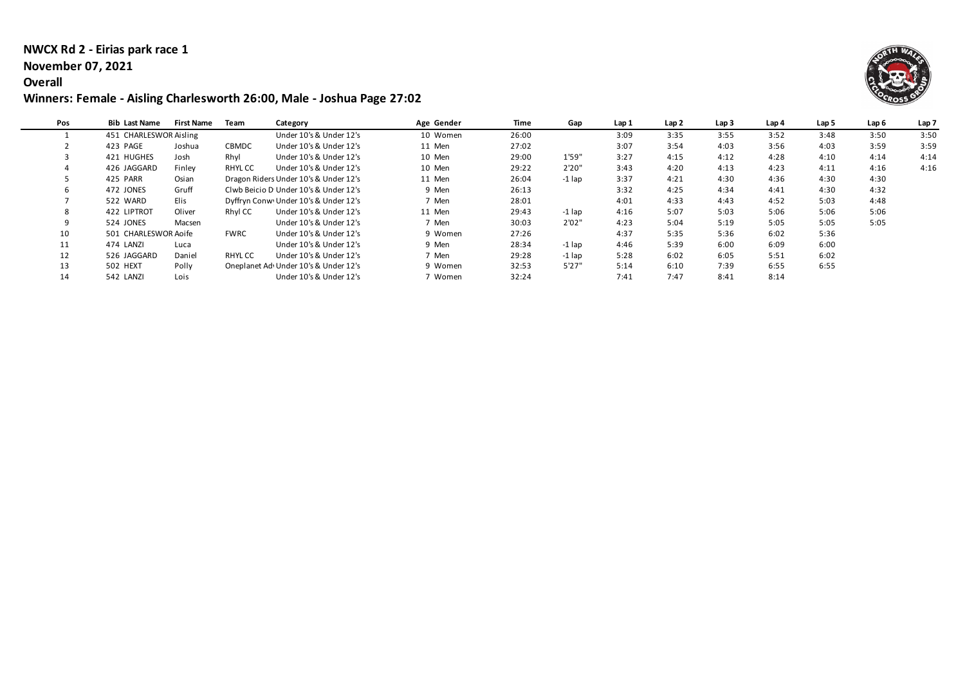### **NWCX Rd 2 - Eirias park race 1**

#### **November 07, 2021**

#### **Overall**

### **Winners: Female - Aisling Charlesworth 26:00, Male - Joshua Page 27:02**



| Pos | <b>Bib Last Name</b>   | <b>First Name</b> | Team         | Category                              | Age Gender | Time  | Gap      | Lap 1 | Lap2 | Lap <sub>3</sub> | Lap 4 | Lap 5 | Lap 6 | Lap <sub>7</sub> |
|-----|------------------------|-------------------|--------------|---------------------------------------|------------|-------|----------|-------|------|------------------|-------|-------|-------|------------------|
|     | 451 CHARLESWOR Aisling |                   |              | Under 10's & Under 12's               | 10 Women   | 26:00 |          | 3:09  | 3:35 | 3:55             | 3:52  | 3:48  | 3:50  | 3:50             |
|     | 423 PAGE               | Joshua            | <b>CBMDC</b> | Under 10's & Under 12's               | 11 Men     | 27:02 |          | 3:07  | 3:54 | 4:03             | 3:56  | 4:03  | 3:59  | 3:59             |
|     | 421 HUGHES             | Josh              | Rhyl         | Under 10's & Under 12's               | 10 Men     | 29:00 | 1'59"    | 3:27  | 4:15 | 4:12             | 4:28  | 4:10  | 4:14  | 4:14             |
|     | 426 JAGGARD            | Finley            | RHYL CC      | Under 10's & Under 12's               | 10 Men     | 29:22 | 2'20"    | 3:43  | 4:20 | 4:13             | 4:23  | 4:11  | 4:16  | 4:16             |
|     | 425 PARR               | Osian             |              | Dragon Riders Under 10's & Under 12's | 11 Men     | 26:04 | -1 lap   | 3:37  | 4:21 | 4:30             | 4:36  | 4:30  | 4:30  |                  |
|     | 472 JONES              | Gruff             |              | Clwb Beicio D Under 10's & Under 12's | 9 Men      | 26:13 |          | 3:32  | 4:25 | 4:34             | 4:41  | 4:30  | 4:32  |                  |
|     | 522 WARD               | Elis              |              | Dyffryn Conw Under 10's & Under 12's  | 7 Men      | 28:01 |          | 4:01  | 4:33 | 4:43             | 4:52  | 5:03  | 4:48  |                  |
| 8   | 422 LIPTROT            | Oliver            | Rhyl CC      | Under 10's & Under 12's               | 11 Men     | 29:43 | $-1$ lap | 4:16  | 5:07 | 5:03             | 5:06  | 5:06  | 5:06  |                  |
|     | 524 JONES              | Macsen            |              | Under 10's & Under 12's               | 7 Men      | 30:03 | 2'02"    | 4:23  | 5:04 | 5:19             | 5:05  | 5:05  | 5:05  |                  |
| 10  | 501 CHARLESWOR Aoife   |                   | <b>FWRC</b>  | Under 10's & Under 12's               | 9 Women    | 27:26 |          | 4:37  | 5:35 | 5:36             | 6:02  | 5:36  |       |                  |
| 11  | 474 LANZI              | Luca              |              | Under 10's & Under 12's               | 9 Men      | 28:34 | $-1$ lap | 4:46  | 5:39 | 6:00             | 6:09  | 6:00  |       |                  |
| 12  | 526 JAGGARD            | Daniel            | RHYL CC      | Under 10's & Under 12's               | 7 Men      | 29:28 | -1 lap   | 5:28  | 6:02 | 6:05             | 5:51  | 6:02  |       |                  |
| 13  | 502 HEXT               | Polly             |              | Oneplanet Ad Under 10's & Under 12's  | 9 Women    | 32:53 | 5'27''   | 5:14  | 6:10 | 7:39             | 6:55  | 6:55  |       |                  |
| 14  | 542 LANZI              | Lois              |              | Under 10's & Under 12's               | ' Women    | 32:24 |          | 7:41  | 7:47 | 8:41             | 8:14  |       |       |                  |
|     |                        |                   |              |                                       |            |       |          |       |      |                  |       |       |       |                  |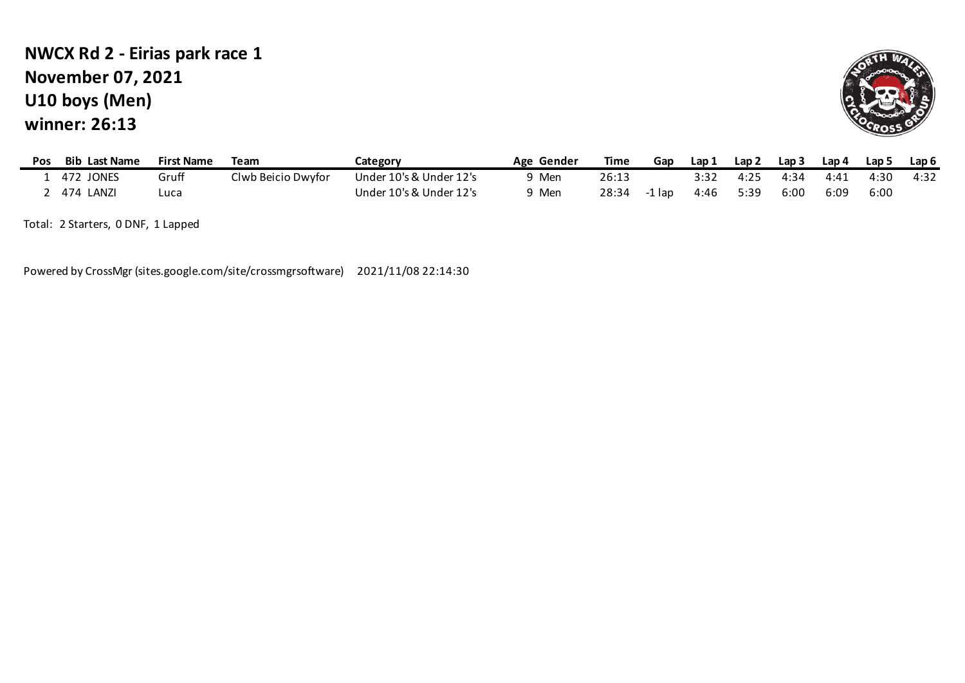# **U10 boys (Men) winner: 26:13 NWCX Rd 2 - Eirias park race 1 November 07, 2021**



| Pos | Bib<br><b>Last Name</b> | <b>First Name</b> | Team               | Category                | Gender<br>Age | Time  | Gap    | Lap 1 | Lap 2 | Lap <sub>3</sub> | Lap 4 | Lap 5 | Lap 6 |
|-----|-------------------------|-------------------|--------------------|-------------------------|---------------|-------|--------|-------|-------|------------------|-------|-------|-------|
|     | 472 JONES               | Gruff             | Clwb Beicio Dwyfor | Under 10's & Under 12's | Men           | 26:13 |        | 3:32  | 4:25  | 4.34             | 4:41  | 4:30  | 4:32  |
|     | 474<br>LANZI            | Luca              |                    | Under 10's & Under 12's | Men           | 28:34 | ∙1 Iap | 4:46  | 5:39  | 6:00             | 6:09  | 6:00  |       |

Total: 2 Starters, 0 DNF, 1 Lapped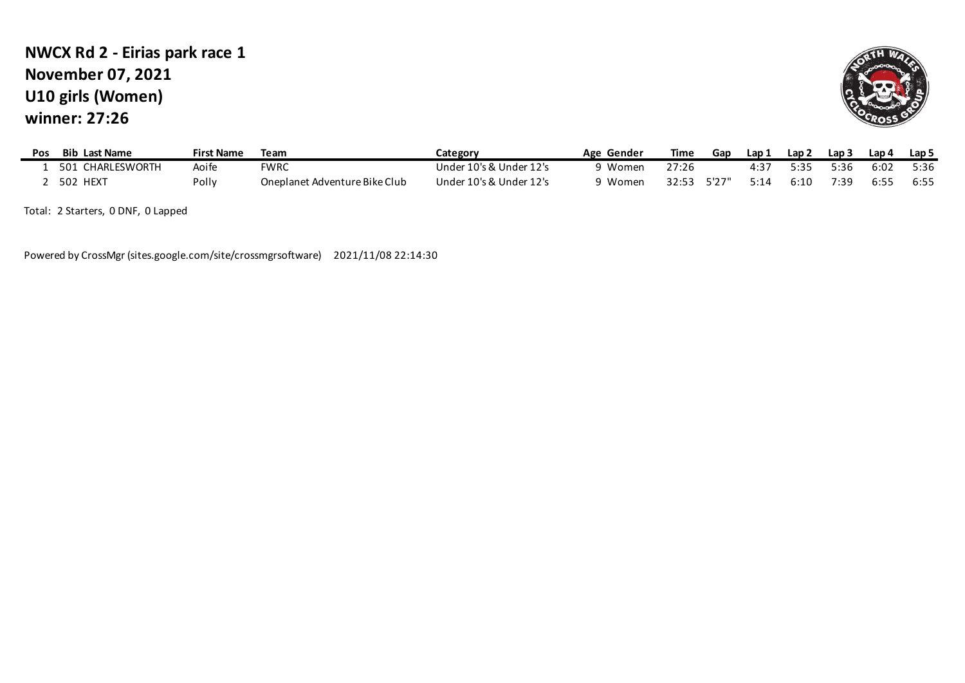### **U10 girls (Women) winner: 27:26 NWCX Rd 2 - Eirias park race 1 November 07, 2021**



| Pos | <b>Bib Last Name</b> | First Name | Team                          | Category                | Age Gender     | Time  | Gap   | Lap 1     | Lap 2 | Lap 3 | Lap 4 | Lap 5 |
|-----|----------------------|------------|-------------------------------|-------------------------|----------------|-------|-------|-----------|-------|-------|-------|-------|
|     | CHARLESWORTH<br>501  | Aoife      | <b>FWRC</b>                   | Under 10's & Under 12's | <b>ว Women</b> | 27:26 |       | $4:3^{-}$ | 5.35  | こっち   | 6:02  | 5:36  |
|     | 502 HEXT             | Polly      | Oneplanet Adventure Bike Club | Under 10's & Under 12's | າ Women        | スフ・5ス | 5'27" | 5:14      | 6:10  | 7:39  | 6:55  | 6:55  |

Total: 2 Starters, 0 DNF, 0 Lapped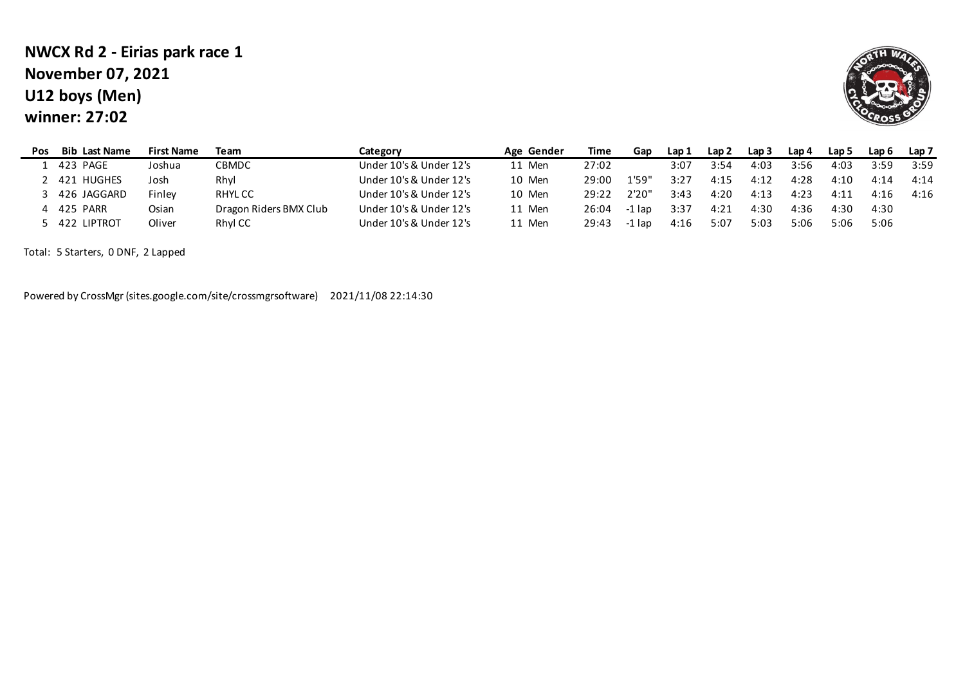### **U12 boys (Men) winner: 27:02 NWCX Rd 2 - Eirias park race 1 November 07, 2021**



| Pos | <b>Bib Last Name</b> | <b>First Name</b> | Team                   | Category                | Age Gender | Time  | Gap      | Lap 1 | Lap 2 | Lap 3 | Lap 4 | Lap 5 | Lap 6 | Lap 7 |
|-----|----------------------|-------------------|------------------------|-------------------------|------------|-------|----------|-------|-------|-------|-------|-------|-------|-------|
|     | 423 PAGE             | Joshua            | <b>CBMDC</b>           | Under 10's & Under 12's | 11 Men     | 27:02 |          | 3:07  | 3:54  | 4:03  | 3:56  | 4:03  | 3:59  | 3:59  |
|     | 2 421 HUGHES         | Josh              | Rhyl                   | Under 10's & Under 12's | 10 Men     | 29:00 | 1'59"    | 3:27  | 4:15  | 4:12  | 4:28  | 4:10  | 4:14  | 4:14  |
|     | 426 JAGGARD          | Finley            | RHYL CC                | Under 10's & Under 12's | 10 Men     | 29:22 | 2'20"    | 3:43  | 4:20  | 4:13  | 4:23  | 4:11  | 4:16  | 4:16  |
|     | 4 425 PARR           | Osian             | Dragon Riders BMX Club | Under 10's & Under 12's | 11 Men     | 26:04 | $-1$ lap | 3:37  | 4:21  | 4:30  | 4:36  | 4:30  | 4:30  |       |
|     | 5 422 LIPTROT        | Oliver            | Rhyl CC                | Under 10's & Under 12's | 11 Men     | 29:43 | -1 lap   | 4:16  | 5:07  | 5:03  | 5:06  | 5:06  | 5:06  |       |

Total: 5 Starters, 0 DNF, 2 Lapped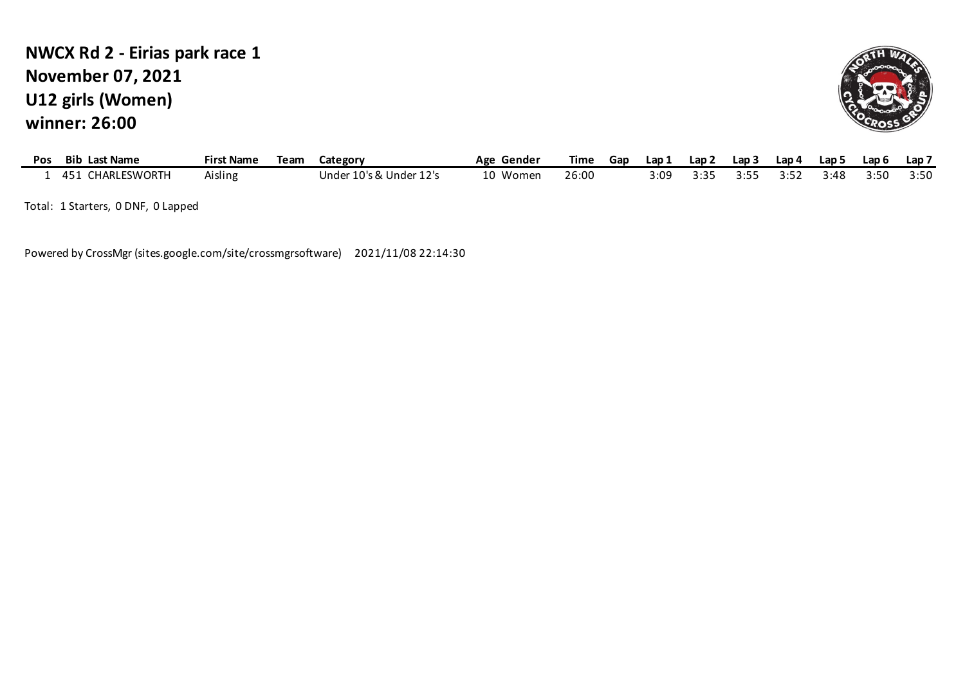## **U12 girls (Women) winner: 26:00 NWCX Rd 2 - Eirias park race 1 November 07, 2021**



| Pos | <b>Bib</b><br>Last Name | First Name | Team | Category                | Age Gender | Time  | Gap | Lap 1 | Lap 2  | Lap 3 | Lap 4 | Lap ! | Lap 6 | Lap ī |
|-----|-------------------------|------------|------|-------------------------|------------|-------|-----|-------|--------|-------|-------|-------|-------|-------|
|     | CHARLESWORTH<br>451     | Aisling    |      | Under 10's & I<br>Under | 10 Women   | 26:00 |     | 3:0°  | י כ. נ |       | 7.5.  | 3:48  | 3:50  | 3:50  |

Total: 1 Starters, 0 DNF, 0 Lapped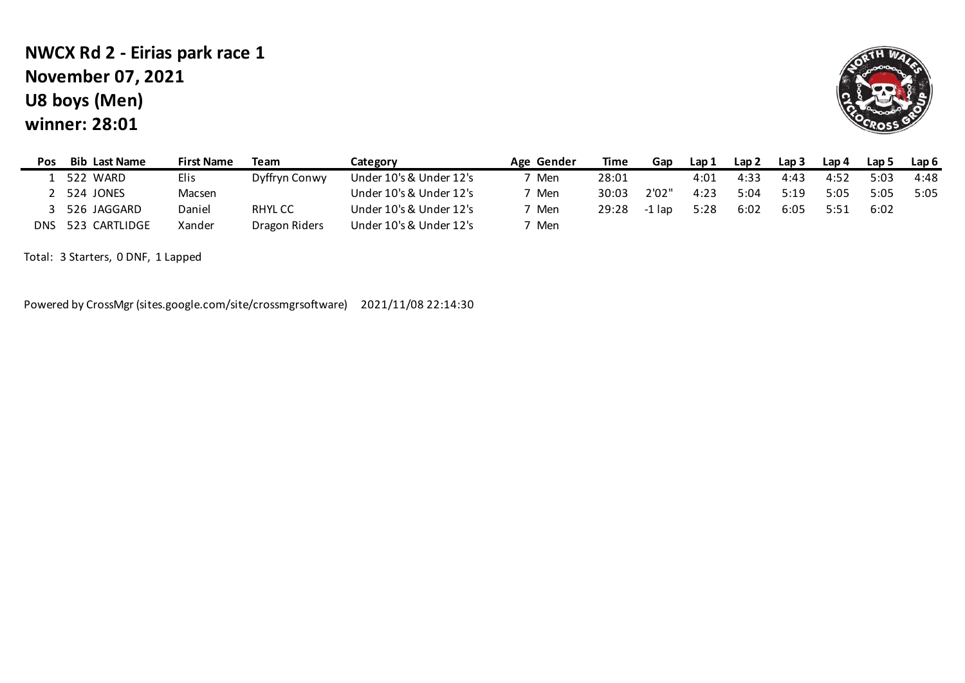# **U8 boys (Men) winner: 28:01 NWCX Rd 2 - Eirias park race 1 November 07, 2021**



| Pos  | <b>Bib Last Name</b> | <b>First Name</b> | Team          | Category                | Age Gender | Time  | Gap    | Lap 1 | Lap 2 | Lap <sub>3</sub> | Lap 4 | Lap 5 | Lap <sub>6</sub> |
|------|----------------------|-------------------|---------------|-------------------------|------------|-------|--------|-------|-------|------------------|-------|-------|------------------|
|      | 522 WARD             | Elis              | Dyffryn Conwy | Under 10's & Under 12's | 7 Men      | 28:01 |        | 4:01  | 4:33  | 4:43             | 4:52  | 5:03  | 4:48             |
|      | 524 JONES            | Macsen            |               | Under 10's & Under 12's | 7 Men      | 30:03 | 2'02"  | 4:23  | 5:04  | 5:19             | 5:05  | 5:05  | 5:05             |
|      | 526 JAGGARD          | Daniel            | RHYL CC       | Under 10's & Under 12's | 7 Men      | 29:28 | -1 Iap | 5:28  | 6:02  | 6:05             | 5:51  | 6:02  |                  |
| DNS. | 523 CARTLIDGE        | Xander            | Dragon Riders | Under 10's & Under 12's | Men        |       |        |       |       |                  |       |       |                  |

Total: 3 Starters, 0 DNF, 1 Lapped